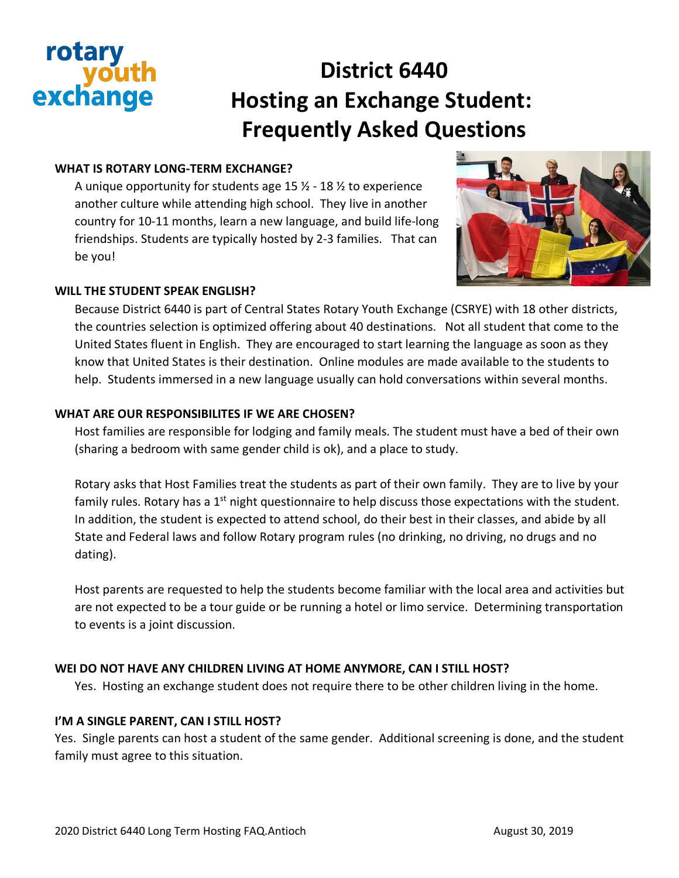# rotary exchange

# **District 6440 Hosting an Exchange Student: Frequently Asked Questions**

# **WHAT IS ROTARY LONG-TERM EXCHANGE?**

A unique opportunity for students age  $15\frac{1}{2}$  -  $18\frac{1}{2}$  to experience another culture while attending high school. They live in another country for 10-11 months, learn a new language, and build life-long friendships. Students are typically hosted by 2-3 families. That can be you!



#### **WILL THE STUDENT SPEAK ENGLISH?**

Because District 6440 is part of Central States Rotary Youth Exchange (CSRYE) with 18 other districts, the countries selection is optimized offering about 40 destinations. Not all student that come to the United States fluent in English. They are encouraged to start learning the language as soon as they know that United States is their destination. Online modules are made available to the students to help. Students immersed in a new language usually can hold conversations within several months.

#### **WHAT ARE OUR RESPONSIBILITES IF WE ARE CHOSEN?**

Host families are responsible for lodging and family meals. The student must have a bed of their own (sharing a bedroom with same gender child is ok), and a place to study.

Rotary asks that Host Families treat the students as part of their own family. They are to live by your family rules. Rotary has a  $1<sup>st</sup>$  night questionnaire to help discuss those expectations with the student. In addition, the student is expected to attend school, do their best in their classes, and abide by all State and Federal laws and follow Rotary program rules (no drinking, no driving, no drugs and no dating).

Host parents are requested to help the students become familiar with the local area and activities but are not expected to be a tour guide or be running a hotel or limo service. Determining transportation to events is a joint discussion.

# **WEI DO NOT HAVE ANY CHILDREN LIVING AT HOME ANYMORE, CAN I STILL HOST?**

Yes. Hosting an exchange student does not require there to be other children living in the home.

# **I'M A SINGLE PARENT, CAN I STILL HOST?**

Yes. Single parents can host a student of the same gender. Additional screening is done, and the student family must agree to this situation.